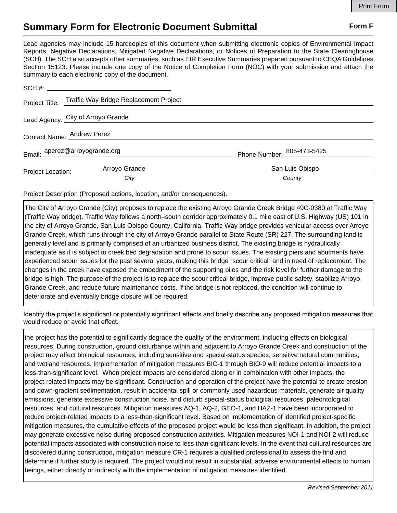## **Summary Form for Electronic Document Submittal Form F Form F**

Lead agencies may include 15 hardcopies of this document when submitting electronic copies of Environmental Impact Reports, Negative Declarations, Mitigated Negative Declarations, or Notices of Preparation to the State Clearinghouse (SCH). The SCH also accepts other summaries, such as EIR Executive Summaries prepared pursuant to CEQA Guidelines Section 15123. Please include one copy of the Notice of Completion Form (NOC) with your submission and attach the summary to each electronic copy of the document.

|                                    | Project Title: Traffic Way Bridge Replacement Project |                            |
|------------------------------------|-------------------------------------------------------|----------------------------|
| Lead Agency: City of Arroyo Grande |                                                       |                            |
| Contact Name: Andrew Perez         |                                                       |                            |
| Email: aperez@arroyogrande.org     |                                                       | Phone Number: 805-473-5425 |
| Project Location: _______          | Arroyo Grande                                         | San Luis Obispo            |
|                                    | City                                                  | County                     |

Project Description (Proposed actions, location, and/or consequences).

The City of Arroyo Grande (City) proposes to replace the existing Arroyo Grande Creek Bridge 49C-0380 at Traffic Way (Traffic Way bridge). Traffic Way follows a north–south corridor approximately 0.1 mile east of U.S. Highway (US) 101 in the city of Arroyo Grande, San Luis Obispo County, California. Traffic Way bridge provides vehicular access over Arroyo Grande Creek, which runs through the city of Arroyo Grande parallel to State Route (SR) 227. The surrounding land is generally level and is primarily comprised of an urbanized business district. The existing bridge is hydraulically inadequate as it is subject to creek bed degradation and prone to scour issues. The existing piers and abutments have experienced scour issues for the past several years, making this bridge "scour critical" and in need of replacement. The changes in the creek have exposed the embedment of the supporting piles and the risk level for further damage to the bridge is high. The purpose of the project is to replace the scour critical bridge, improve public safety, stabilize Arroyo Grande Creek, and reduce future maintenance costs. If the bridge is not replaced, the condition will continue to deteriorate and eventually bridge closure will be required.

Identify the project's significant or potentially significant effects and briefly describe any proposed mitigation measures that would reduce or avoid that effect.

the project has the potential to significantly degrade the quality of the environment, including effects on biological resources. During construction, ground disturbance within and adjacent to Arroyo Grande Creek and construction of the project may affect biological resources, including sensitive and special-status species, sensitive natural communities, and wetland resources. Implementation of mitigation measures BIO-1 through BIO-9 will reduce potential impacts to a less-than-significant level. When project impacts are considered along or in combination with other impacts, the project-related impacts may be significant. Construction and operation of the project have the potential to create erosion and down-gradient sedimentation, result in accidental spill or commonly used hazardous materials, generate air quality emissions, generate excessive construction noise, and disturb special-status biological resources, paleontological resources, and cultural resources. Mitigation measures AQ-1, AQ-2, GEO-1, and HAZ-1 have been incorporated to reduce project-related impacts to a less-than-significant level. Based on implementation of identified project-specific mitigation measures, the cumulative effects of the proposed project would be less than significant. In addition, the project may generate excessive noise during proposed construction activities. Mitigation measures NOI-1 and NOI-2 will reduce potential impacts associated with construction noise to less than significant levels. In the event that cultural resources are discovered during construction, mitigation measure CR-1 requires a qualified professional to assess the find and determine if further study is required. The project would not result in substantial, adverse environmental effects to human beings, either directly or indirectly with the implementation of mitigation measures identified.